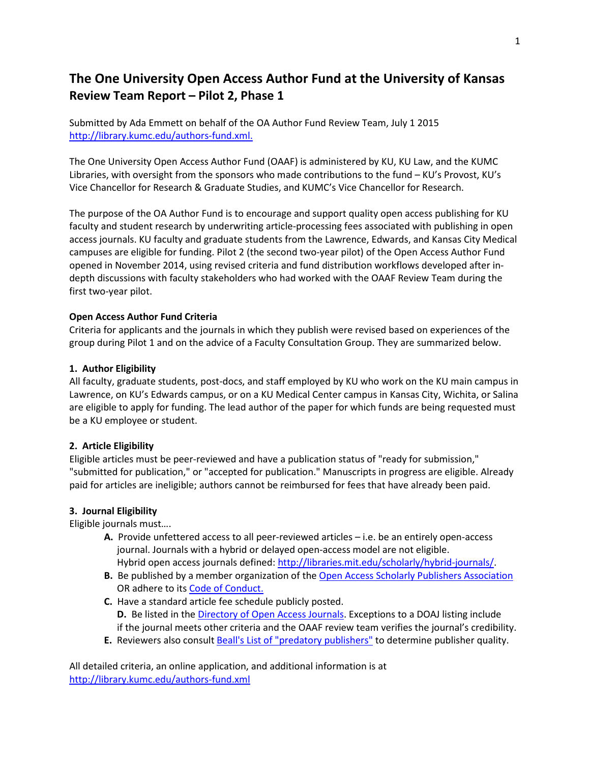# **The One University Open Access Author Fund at the University of Kansas Review Team Report – Pilot 2, Phase 1**

Submitted by Ada Emmett on behalf of the OA Author Fund Review Team, July 1 2015 [http://library.kumc.edu/authors-fund.xml.](http://library.kumc.edu/authors-fund.xml)

The One University Open Access Author Fund (OAAF) is administered by KU, KU Law, and the KUMC Libraries, with oversight from the sponsors who made contributions to the fund – KU's Provost, KU's Vice Chancellor for Research & Graduate Studies, and KUMC's Vice Chancellor for Research.

The purpose of the OA Author Fund is to encourage and support quality open access publishing for KU faculty and student research by underwriting article-processing fees associated with publishing in open access journals. KU faculty and graduate students from the Lawrence, Edwards, and Kansas City Medical campuses are eligible for funding. Pilot 2 (the second two-year pilot) of the Open Access Author Fund opened in November 2014, using revised criteria and fund distribution workflows developed after indepth discussions with faculty stakeholders who had worked with the OAAF Review Team during the first two-year pilot.

#### **Open Access Author Fund Criteria**

Criteria for applicants and the journals in which they publish were revised based on experiences of the group during Pilot 1 and on the advice of a Faculty Consultation Group. They are summarized below.

#### **1. Author Eligibility**

All faculty, graduate students, post-docs, and staff employed by KU who work on the KU main campus in Lawrence, on KU's Edwards campus, or on a KU Medical Center campus in Kansas City, Wichita, or Salina are eligible to apply for funding. The lead author of the paper for which funds are being requested must be a KU employee or student.

#### **2. Article Eligibility**

Eligible articles must be peer-reviewed and have a publication status of "ready for submission," "submitted for publication," or "accepted for publication." Manuscripts in progress are eligible. Already paid for articles are ineligible; authors cannot be reimbursed for fees that have already been paid.

#### **3. Journal Eligibility**

Eligible journals must….

- **A.** Provide unfettered access to all peer-reviewed articles i.e. be an entirely open-access journal. Journals with a hybrid or delayed open-access model are not eligible. Hybrid open access journals defined: [http://libraries.mit.edu/scholarly/hybrid-journals/.](http://libraries.mit.edu/scholarly/hybrid-journals/)
- **B.** Be published by a member organization of the [Open Access Scholarly Publishers Association](http://oaspa.org/membership/members/) OR adhere to it[s Code of Conduct.](http://oaspa.org/membership/code-of-conduct/)
- **C.** Have a standard article fee schedule publicly posted. **D.** Be listed in the [Directory of Open Access Journals.](http://www.doaj.org/doaj?func=browse) Exceptions to a DOAJ listing include if the journal meets other criteria and the OAAF review team verifies the journal's credibility.
- **E.** Reviewers also consult [Beall's List of "predatory publishers"](http://scholarlyoa.com/2014/01/02/list-of-predatory-publishers-2014/) to determine publisher quality.

All detailed criteria, an online application, and additional information is at <http://library.kumc.edu/authors-fund.xml>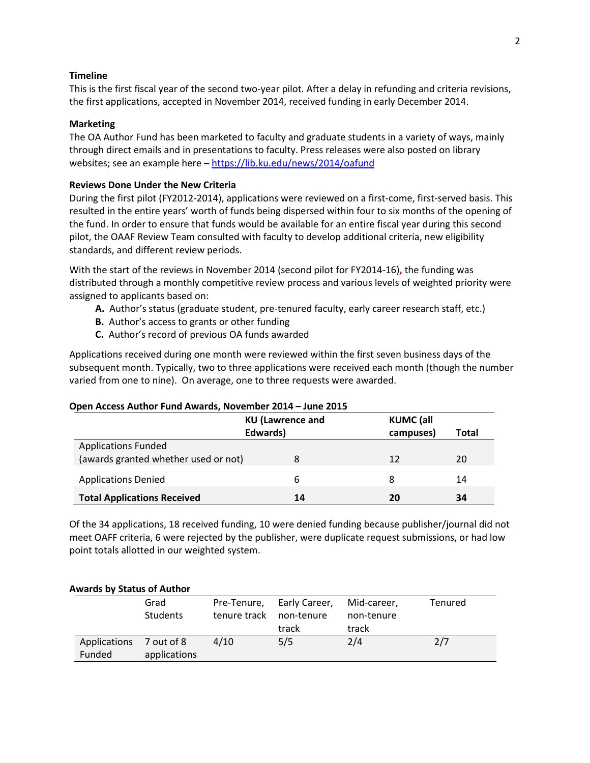#### **Timeline**

This is the first fiscal year of the second two-year pilot. After a delay in refunding and criteria revisions, the first applications, accepted in November 2014, received funding in early December 2014.

#### **Marketing**

The OA Author Fund has been marketed to faculty and graduate students in a variety of ways, mainly through direct emails and in presentations to faculty. Press releases were also posted on library websites; see an example here – <https://lib.ku.edu/news/2014/oafund>

#### **Reviews Done Under the New Criteria**

During the first pilot (FY2012-2014), applications were reviewed on a first-come, first-served basis. This resulted in the entire years' worth of funds being dispersed within four to six months of the opening of the fund. In order to ensure that funds would be available for an entire fiscal year during this second pilot, the OAAF Review Team consulted with faculty to develop additional criteria, new eligibility standards, and different review periods.

With the start of the reviews in November 2014 (second pilot for FY2014-16)**,** the funding was distributed through a monthly competitive review process and various levels of weighted priority were assigned to applicants based on:

- **A.** Author's status (graduate student, pre-tenured faculty, early career research staff, etc.)
- **B.** Author's access to grants or other funding
- **C.** Author's record of previous OA funds awarded

Applications received during one month were reviewed within the first seven business days of the subsequent month. Typically, two to three applications were received each month (though the number varied from one to nine). On average, one to three requests were awarded.

| Open Access Author Fund Awards, November 2014 - June 2015 |  |
|-----------------------------------------------------------|--|
|-----------------------------------------------------------|--|

| <b>KU</b> (Lawrence and              |          | <b>KUMC</b> (all |       |  |
|--------------------------------------|----------|------------------|-------|--|
|                                      | Edwards) | campuses)        | Total |  |
| <b>Applications Funded</b>           |          |                  |       |  |
| (awards granted whether used or not) |          | 12               | 20    |  |
| <b>Applications Denied</b>           | 6        |                  | 14    |  |
| <b>Total Applications Received</b>   | 14       | 20               | 34    |  |

Of the 34 applications, 18 received funding, 10 were denied funding because publisher/journal did not meet OAFF criteria, 6 were rejected by the publisher, were duplicate request submissions, or had low point totals allotted in our weighted system.

| Awards by Status of Author |                 |              |               |             |         |
|----------------------------|-----------------|--------------|---------------|-------------|---------|
|                            | Grad            | Pre-Tenure,  | Early Career, | Mid-career, | Tenured |
|                            | <b>Students</b> | tenure track | non-tenure    | non-tenure  |         |
|                            |                 |              | track         | track       |         |
| Applications 7 out of 8    |                 | 4/10         | 5/5           | 2/4         | 2/7     |
| Funded                     | applications    |              |               |             |         |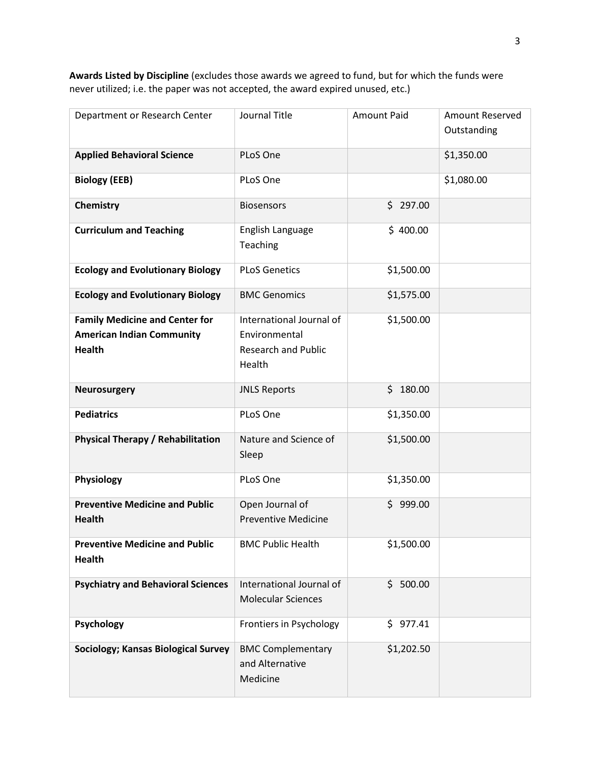**Awards Listed by Discipline** (excludes those awards we agreed to fund, but for which the funds were never utilized; i.e. the paper was not accepted, the award expired unused, etc.)

| Department or Research Center                                                              | Journal Title                                                                     | <b>Amount Paid</b> | Amount Reserved |
|--------------------------------------------------------------------------------------------|-----------------------------------------------------------------------------------|--------------------|-----------------|
|                                                                                            |                                                                                   |                    | Outstanding     |
| <b>Applied Behavioral Science</b>                                                          | PLoS One                                                                          |                    | \$1,350.00      |
| <b>Biology (EEB)</b>                                                                       | PLoS One                                                                          |                    | \$1,080.00      |
| Chemistry                                                                                  | <b>Biosensors</b>                                                                 | \$297.00           |                 |
| <b>Curriculum and Teaching</b>                                                             | English Language<br>Teaching                                                      | \$400.00           |                 |
| <b>Ecology and Evolutionary Biology</b>                                                    | <b>PLoS Genetics</b>                                                              | \$1,500.00         |                 |
| <b>Ecology and Evolutionary Biology</b>                                                    | <b>BMC Genomics</b>                                                               | \$1,575.00         |                 |
| <b>Family Medicine and Center for</b><br><b>American Indian Community</b><br><b>Health</b> | International Journal of<br>Environmental<br><b>Research and Public</b><br>Health | \$1,500.00         |                 |
| <b>Neurosurgery</b>                                                                        | <b>JNLS Reports</b>                                                               | \$180.00           |                 |
| <b>Pediatrics</b>                                                                          | PLoS One                                                                          | \$1,350.00         |                 |
| <b>Physical Therapy / Rehabilitation</b>                                                   | Nature and Science of<br>Sleep                                                    | \$1,500.00         |                 |
| Physiology                                                                                 | PLoS One                                                                          | \$1,350.00         |                 |
| <b>Preventive Medicine and Public</b><br><b>Health</b>                                     | Open Journal of<br><b>Preventive Medicine</b>                                     | \$999.00           |                 |
| <b>BMC Public Health</b><br><b>Preventive Medicine and Public</b><br><b>Health</b>         |                                                                                   | \$1,500.00         |                 |
| <b>Psychiatry and Behavioral Sciences</b>                                                  | International Journal of<br>\$500.00<br><b>Molecular Sciences</b>                 |                    |                 |
| Psychology                                                                                 | Frontiers in Psychology                                                           | \$977.41           |                 |
| Sociology; Kansas Biological Survey                                                        | <b>BMC Complementary</b><br>and Alternative<br>Medicine                           | \$1,202.50         |                 |